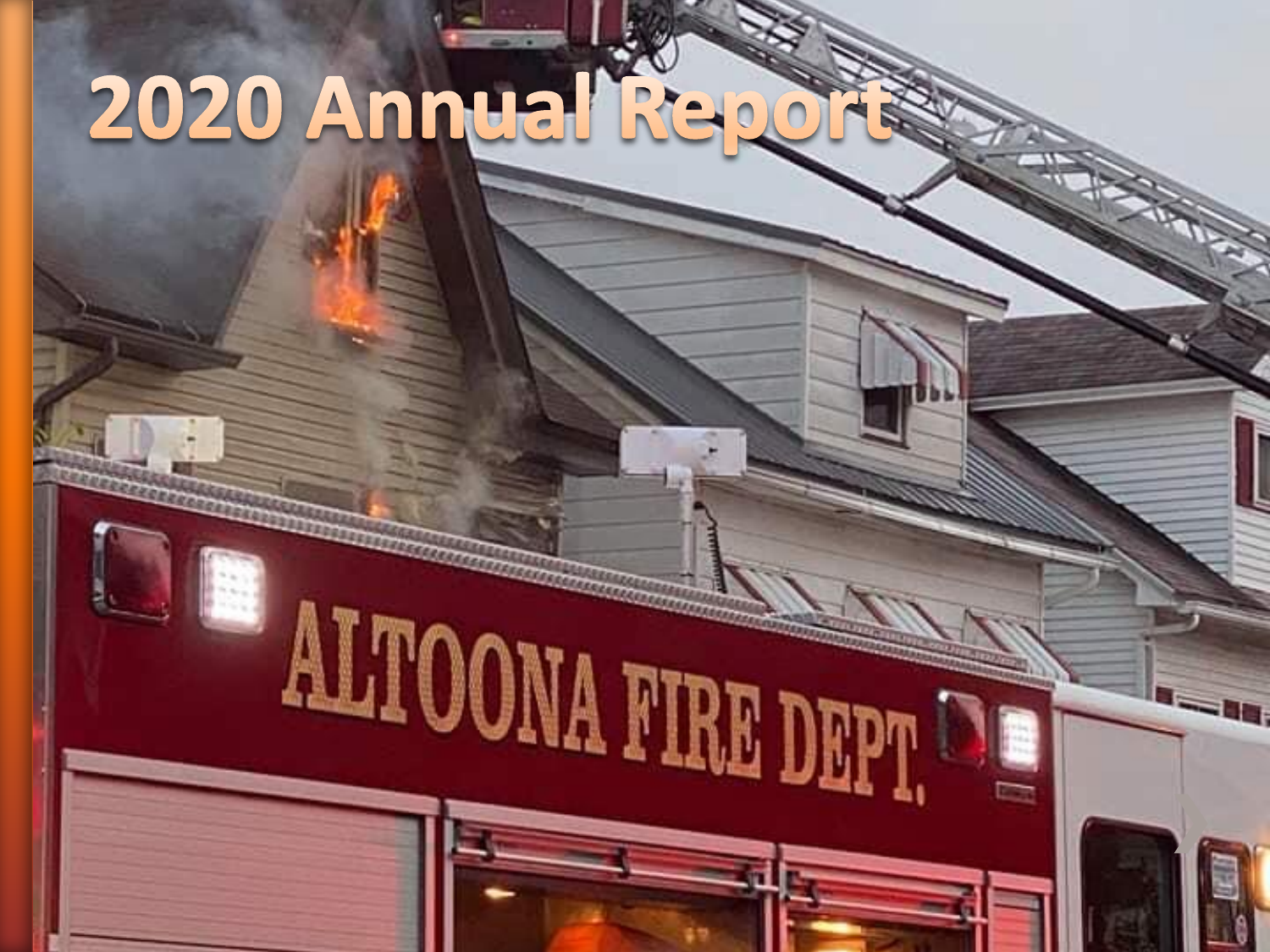## 2020 Annual Repo

ALTOONA FIRE DEPT. DE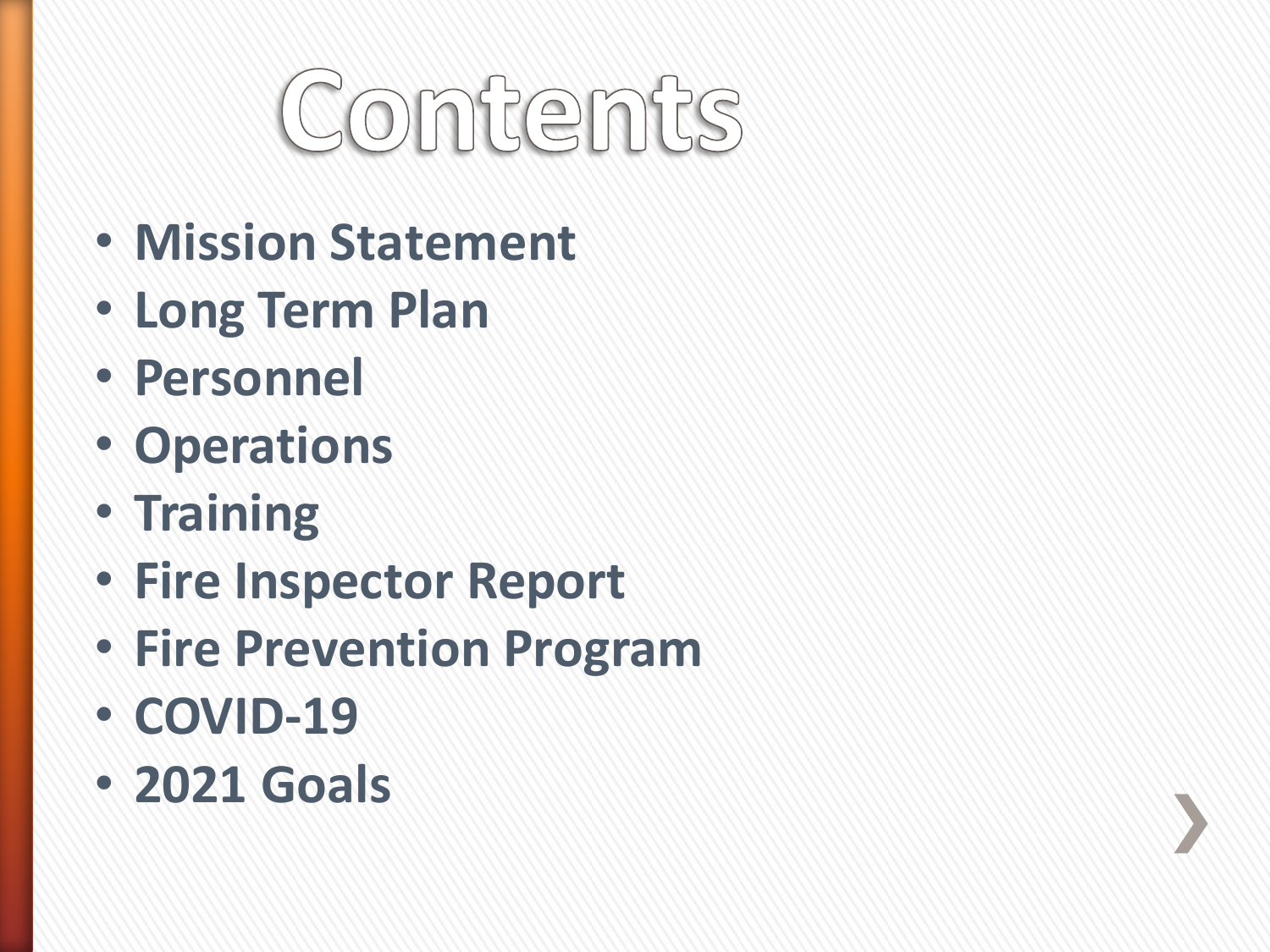# Contents

- **Mission Statement**
- **Long Term Plan**
- **Personnel**
- **Operations**
- **Training**
- **Fire Inspector Report**
- **Fire Prevention Program**
- **COVID-19**
- **2021 Goals**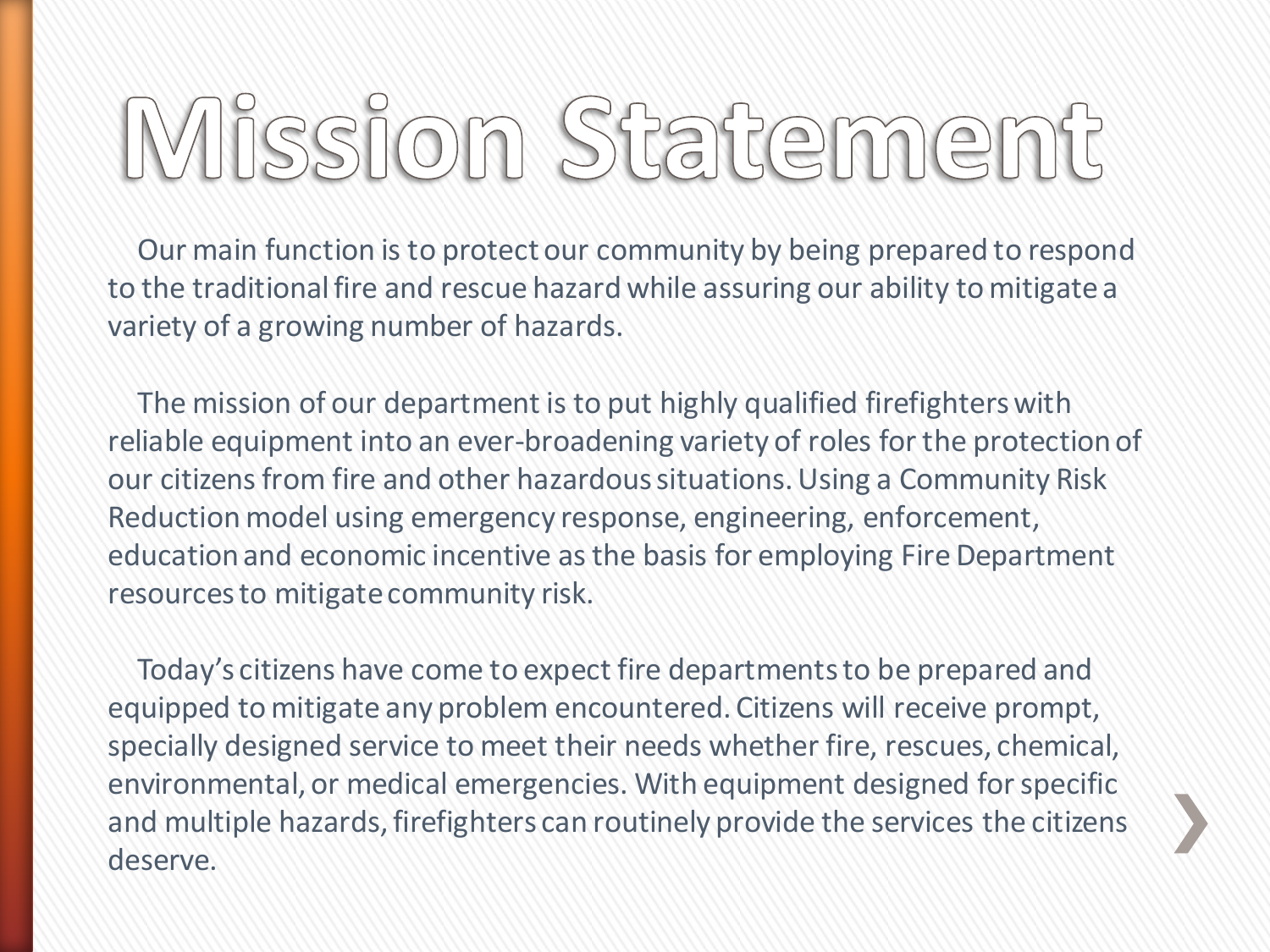# Mission Statement

Our main function is to protect our community by being prepared to respond to the traditional fire and rescue hazard while assuring our ability to mitigate a variety of a growing number of hazards.

The mission of our department is to put highly qualified firefighters with reliable equipment into an ever-broadening variety of roles for the protection of our citizens from fire and other hazardous situations. Using a Community Risk Reduction model using emergency response, engineering, enforcement, education and economic incentive as the basis for employing Fire Department resources to mitigate community risk.

Today's citizens have come to expect fire departments to be prepared and equipped to mitigate any problem encountered. Citizens will receive prompt, specially designed service to meet their needs whether fire, rescues, chemical, environmental, or medical emergencies. With equipment designed for specific and multiple hazards, firefighters can routinely provide the services the citizens deserve.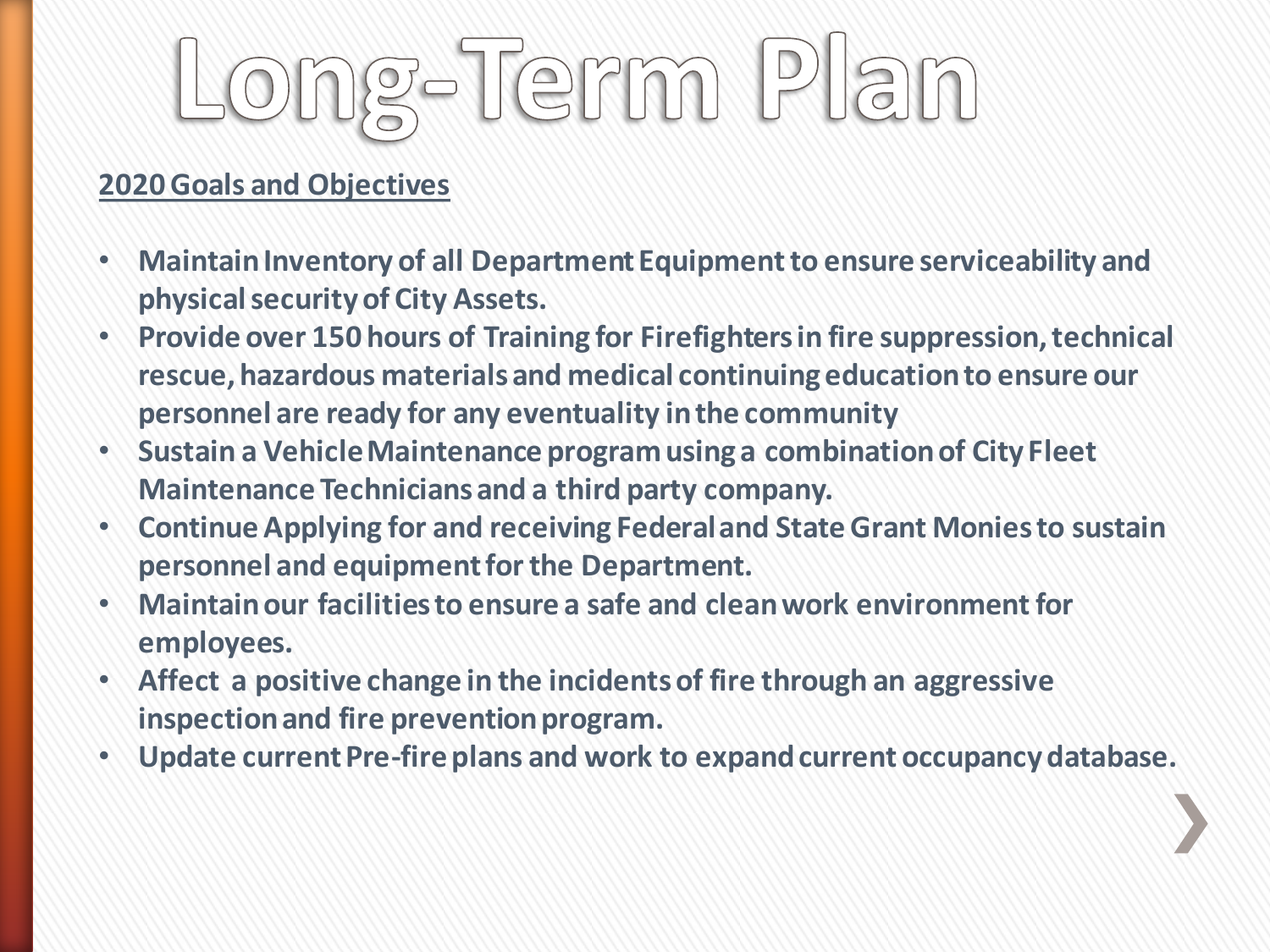# ong-Term Plan

#### **2020 Goals and Objectives**

- **Maintain Inventory of all Department Equipment to ensure serviceability and physical security of City Assets.**
- **Provide over 150 hours of Training for Firefighters in fire suppression, technical rescue, hazardous materials and medical continuing education to ensure our personnel are ready for any eventuality in the community**
- **Sustain a Vehicle Maintenance program using a combination of City Fleet Maintenance Technicians and a third party company.**
- **Continue Applying for and receiving Federal and State Grant Monies to sustain personnel and equipment for the Department.**
- **Maintain our facilities to ensure a safe and clean work environment for employees.**
- **Affect a positive change in the incidents of fire through an aggressive inspection and fire prevention program.**
- **Update current Pre-fire plans and work to expand current occupancy database.**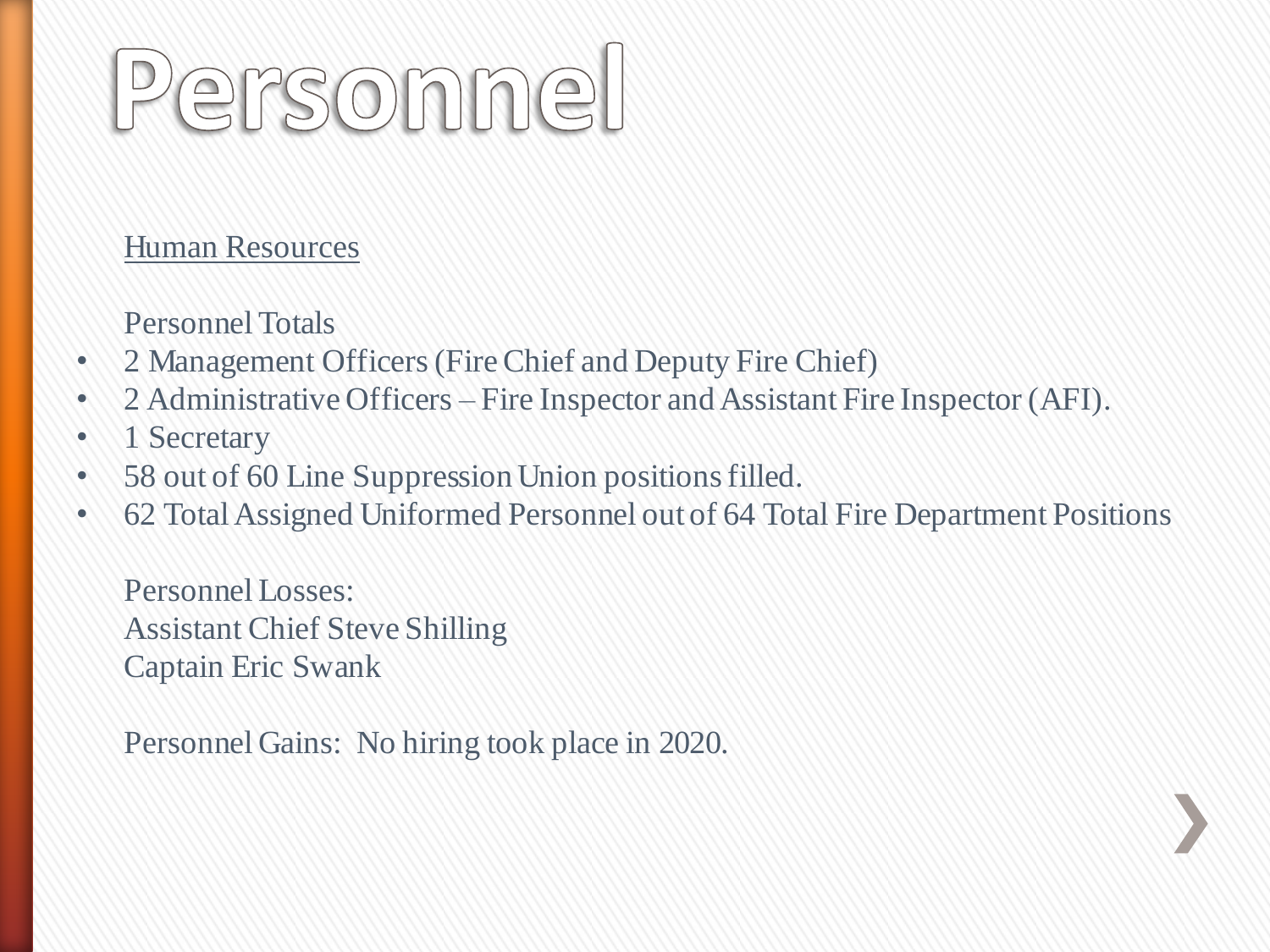# Personnel

#### Human Resources

Personnel Totals

- 2 Management Officers (Fire Chief and Deputy Fire Chief)
- 2 Administrative Officers Fire Inspector and Assistant Fire Inspector (AFI).
- 1 Secretary
- 58 out of 60 Line Suppression Union positions filled.
- 62 Total Assigned Uniformed Personnel out of 64 Total Fire Department Positions

Personnel Losses: Assistant Chief Steve Shilling Captain Eric Swank

Personnel Gains: No hiring took place in 2020.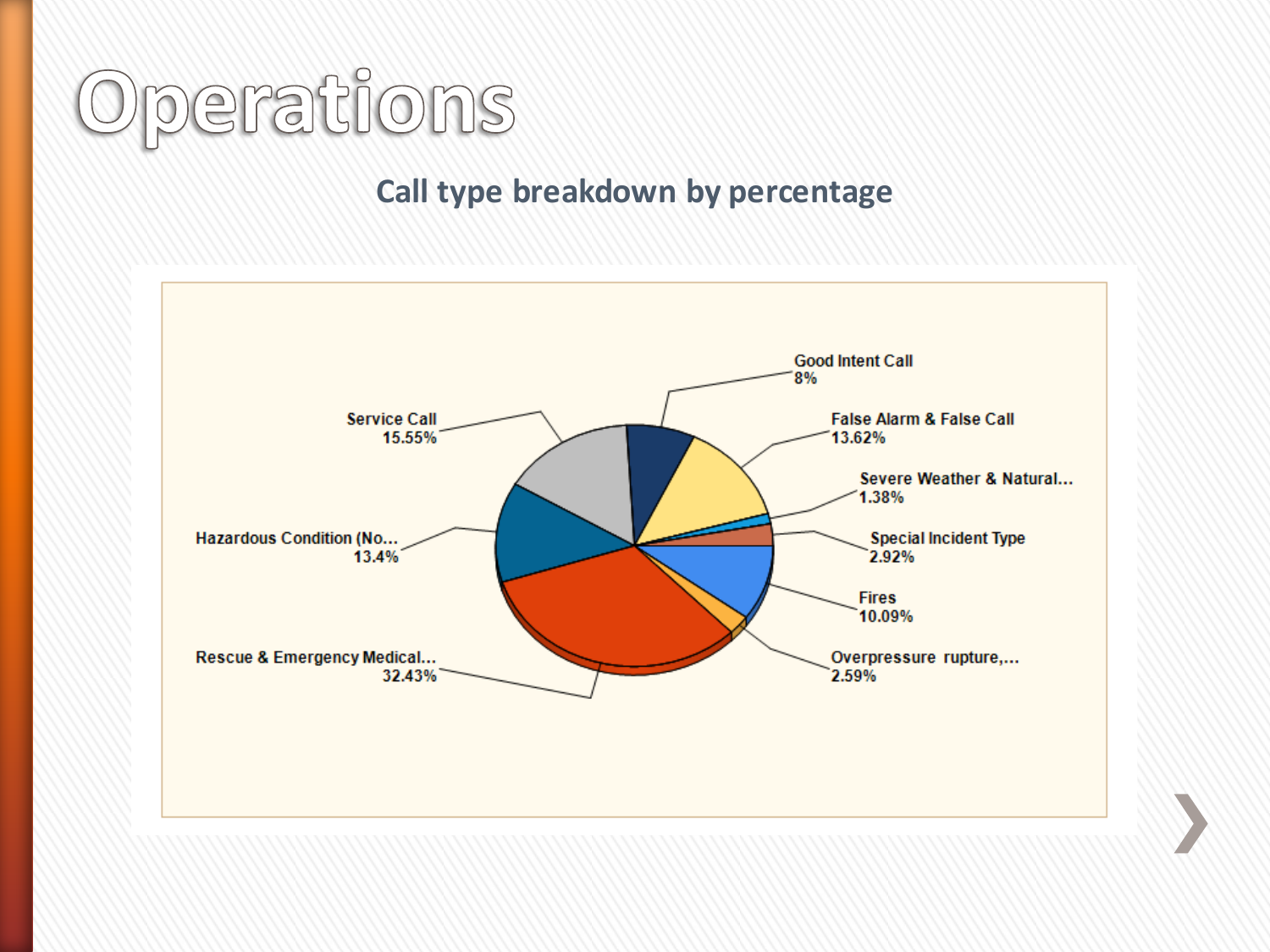

#### **Call type breakdown by percentage**

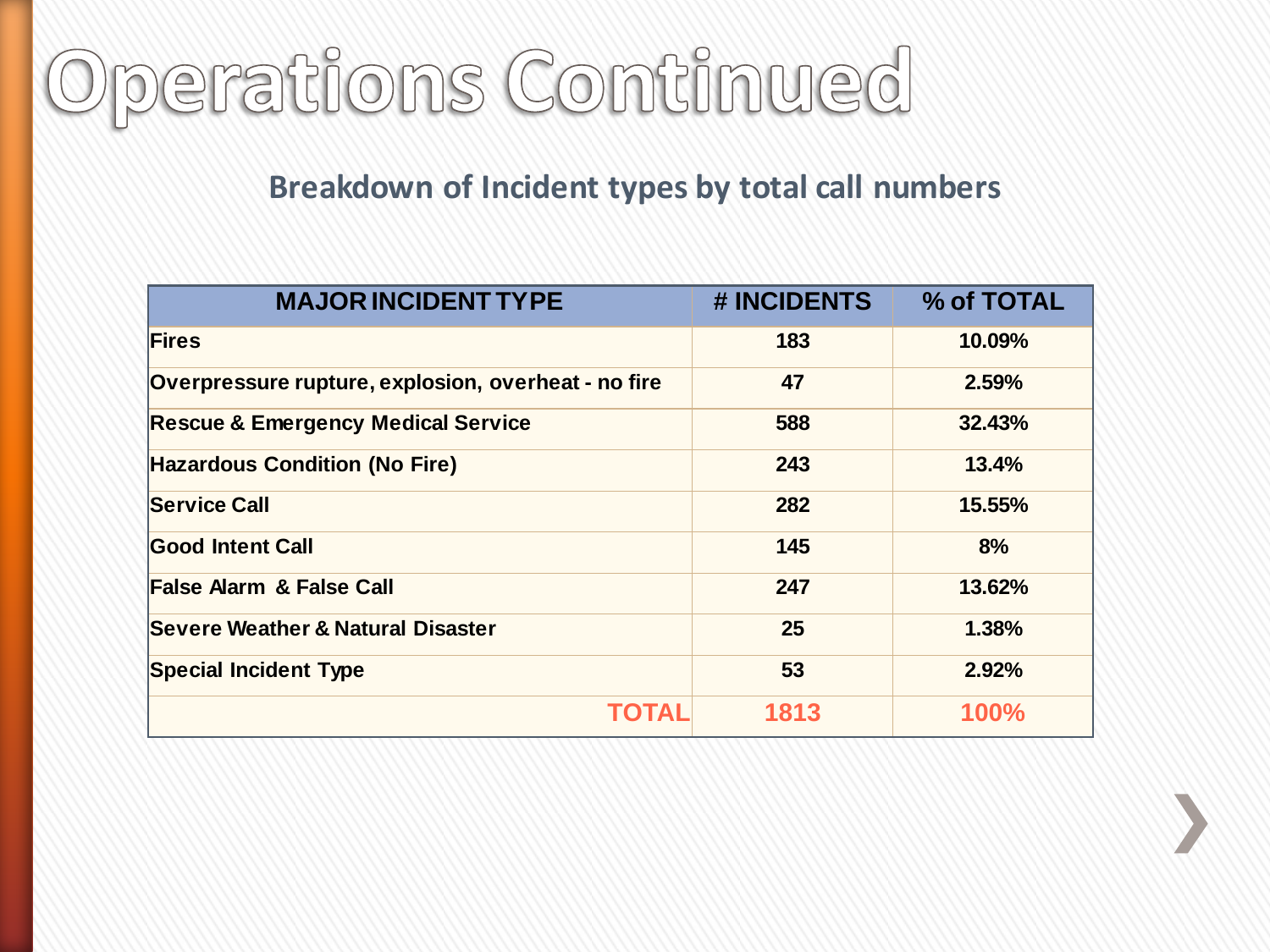

#### **Breakdown of Incident types by total call numbers**

| <b>MAJOR INCIDENT TYPE</b>                          | # INCIDENTS | % of TOTAL |
|-----------------------------------------------------|-------------|------------|
| <b>Fires</b>                                        | 183         | 10.09%     |
| Overpressure rupture, explosion, overheat - no fire | 47          | 2.59%      |
| <b>Rescue &amp; Emergency Medical Service</b>       | 588         | 32.43%     |
| <b>Hazardous Condition (No Fire)</b>                | 243         | 13.4%      |
| <b>Service Call</b>                                 | 282         | 15.55%     |
| <b>Good Intent Call</b>                             | 145         | 8%         |
| <b>False Alarm &amp; False Call</b>                 | 247         | 13.62%     |
| Severe Weather & Natural Disaster                   | 25          | 1.38%      |
| <b>Special Incident Type</b>                        | 53          | 2.92%      |
| TOTAL                                               | 1813        | 100%       |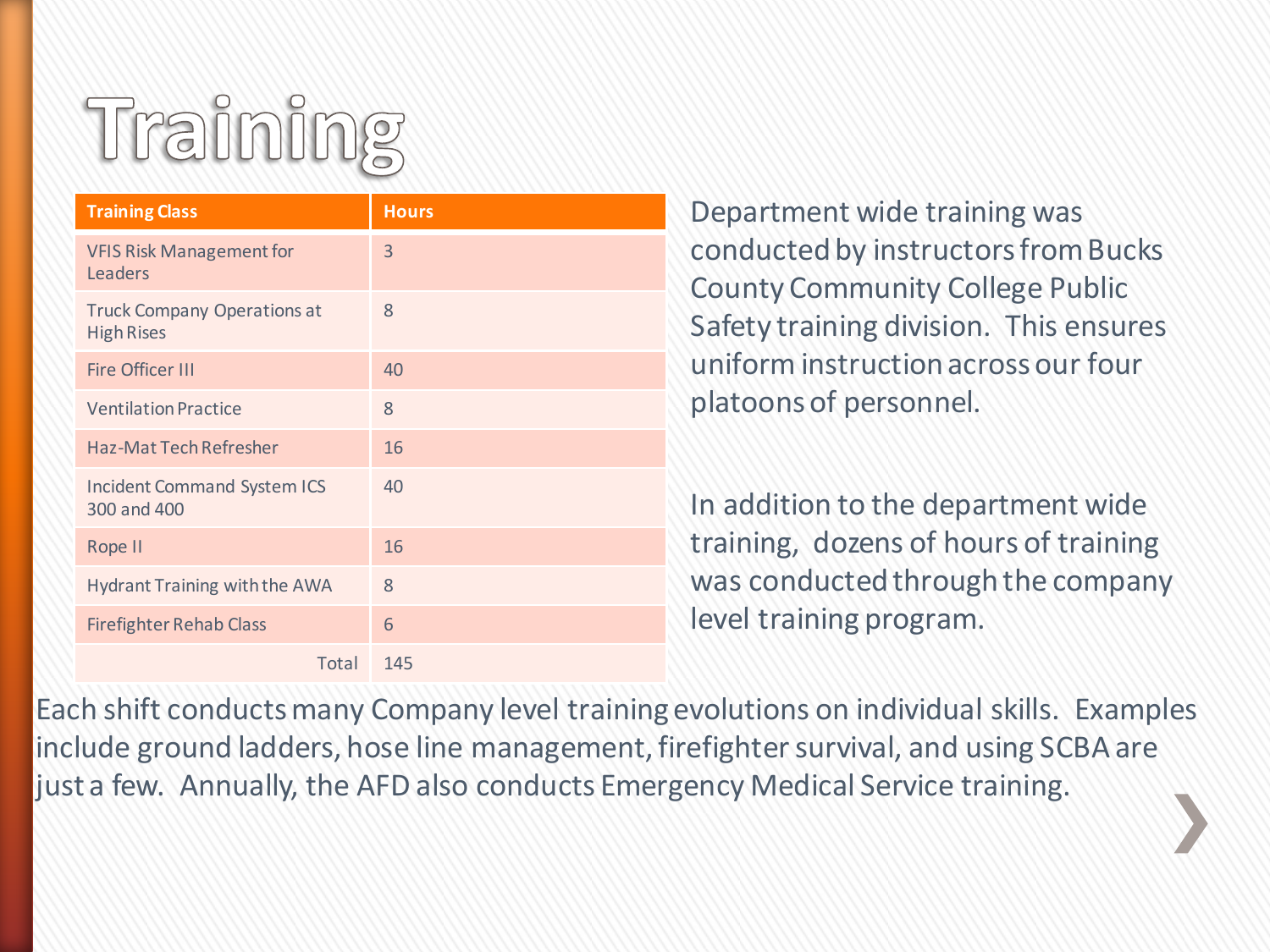### Training

| <b>Training Class</b>                                   | <b>Hours</b> |
|---------------------------------------------------------|--------------|
| <b>VFIS Risk Management for</b><br>Leaders              | 3            |
| <b>Truck Company Operations at</b><br><b>High Rises</b> | 8            |
| <b>Fire Officer III</b>                                 | 40           |
| <b>Ventilation Practice</b>                             | 8            |
| <b>Haz-Mat Tech Refresher</b>                           | 16           |
| <b>Incident Command System ICS</b><br>300 and 400       | 40           |
| Rope II                                                 | 16           |
| Hydrant Training with the AWA                           | 8            |
| <b>Firefighter Rehab Class</b>                          | 6            |
| Total                                                   | 145          |

Department wide training was conducted by instructors from Bucks County Community College Public Safety training division. This ensures uniform instruction across our four platoons of personnel.

In addition to the department wide training, dozens of hours of training was conducted through the company level training program.

Each shift conducts many Company level training evolutions on individual skills. Examples include ground ladders, hose line management, firefighter survival, and using SCBA are just a few. Annually, the AFD also conducts Emergency Medical Service training.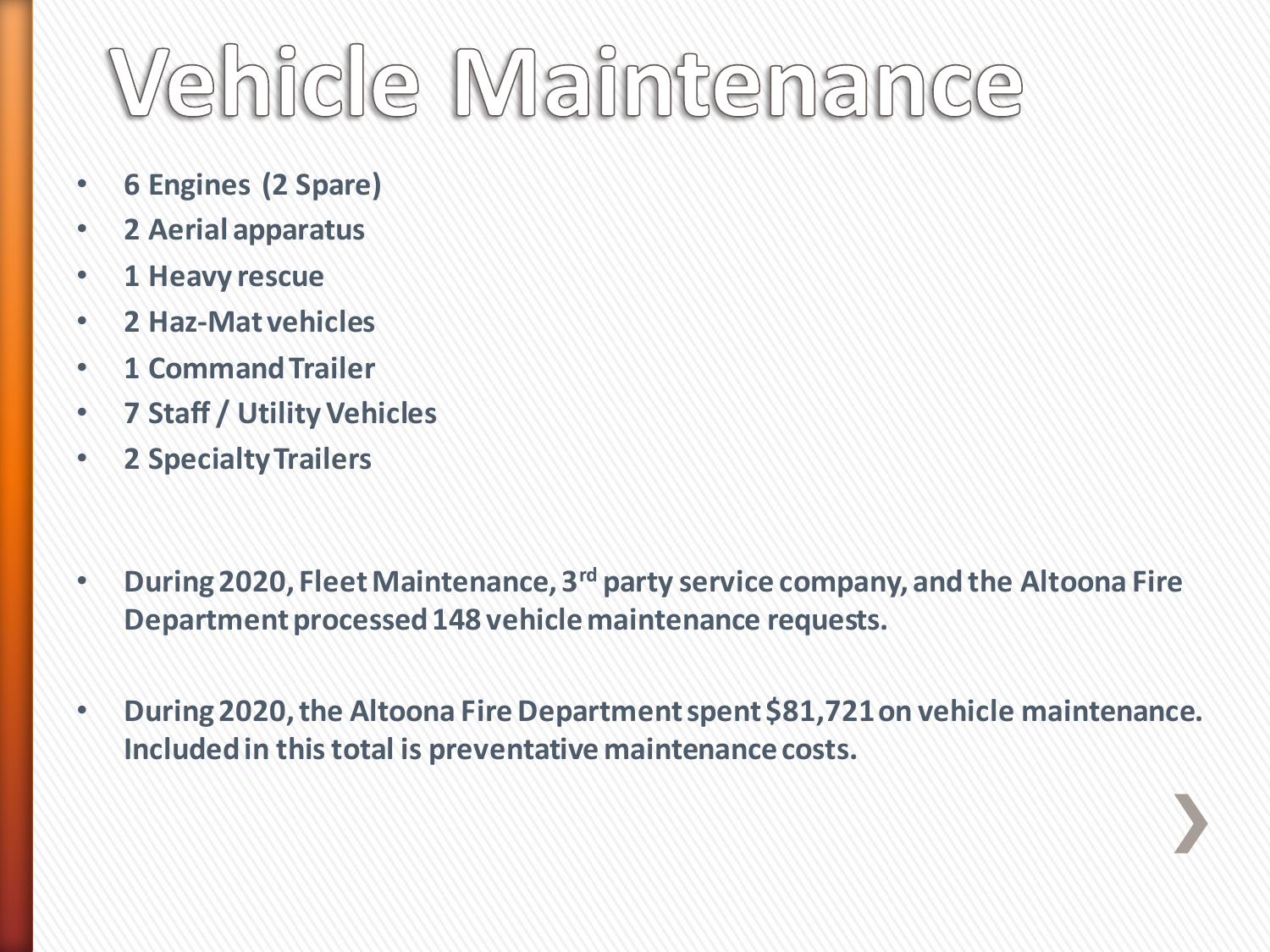### Vehicle Maintenance

- **6 Engines (2 Spare)**
- **2 Aerial apparatus**
- **1 Heavy rescue**
- **2 Haz-Mat vehicles**
- **1 Command Trailer**
- **7 Staff / Utility Vehicles**
- **2 Specialty Trailers**
- **During 2020, Fleet Maintenance, 3rd party service company, and the Altoona Fire Department processed 148 vehicle maintenance requests.**
- **During 2020, the Altoona Fire Department spent \$81,721 on vehicle maintenance. Included in this total is preventative maintenance costs.**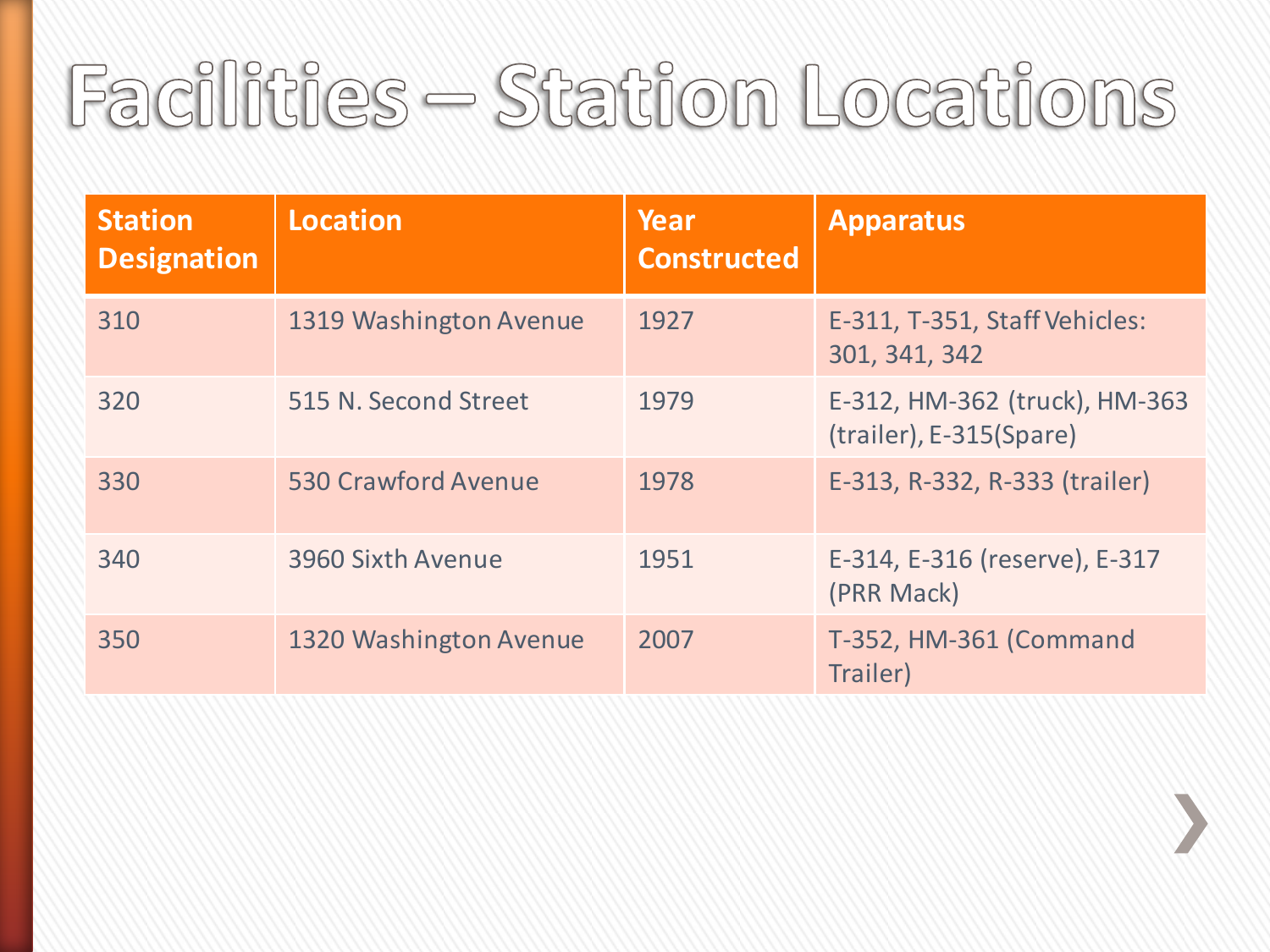### Facilities - Station Locations

| <b>Station</b><br><b>Designation</b> | <b>Location</b>        | Year<br><b>Constructed</b> | <b>Apparatus</b>                                         |
|--------------------------------------|------------------------|----------------------------|----------------------------------------------------------|
| 310                                  | 1319 Washington Avenue | 1927                       | E-311, T-351, Staff Vehicles:<br>301, 341, 342           |
| 320                                  | 515 N. Second Street   | 1979                       | E-312, HM-362 (truck), HM-363<br>(trailer), E-315(Spare) |
| 330                                  | 530 Crawford Avenue    | 1978                       | E-313, R-332, R-333 (trailer)                            |
| 340                                  | 3960 Sixth Avenue      | 1951                       | E-314, E-316 (reserve), E-317<br>(PRR Mack)              |
| 350                                  | 1320 Washington Avenue | 2007                       | T-352, HM-361 (Command<br>Trailer)                       |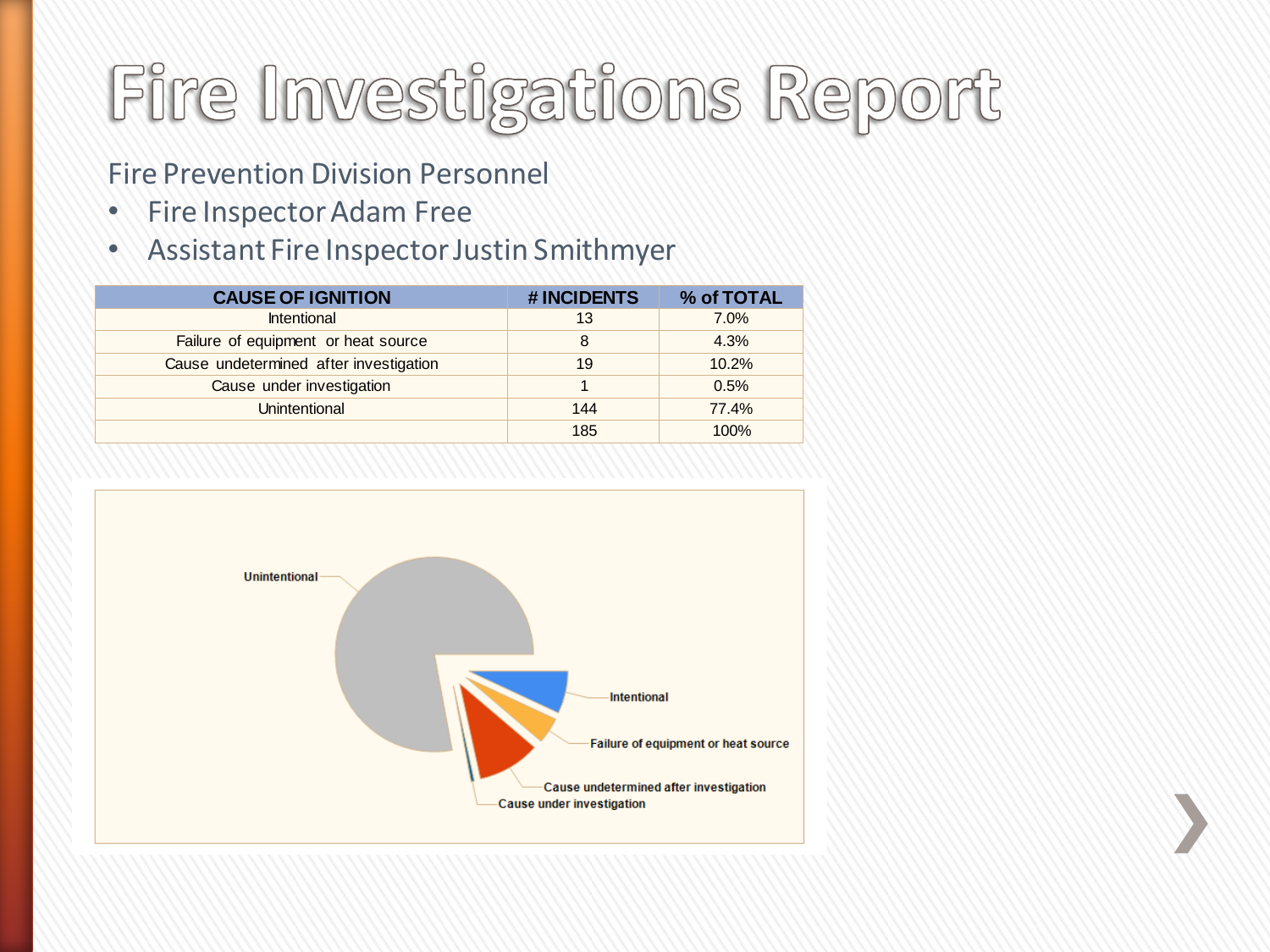### Fire Investigations Report

#### Fire Prevention Division Personnel

- Fire Inspector Adam Free
- Assistant Fire Inspector Justin Smithmyer

| <b>CAUSE OF IGNITION</b>               | #INCIDENTS | % of TOTAL |
|----------------------------------------|------------|------------|
| <b>Intentional</b>                     | 13         | 7.0%       |
| Failure of equipment or heat source    | 8          | 4.3%       |
| Cause undetermined after investigation | 19         | 10.2%      |
| Cause under investigation              |            | 0.5%       |
| Unintentional                          | 144        | 77.4%      |
|                                        | 185        | 100%       |

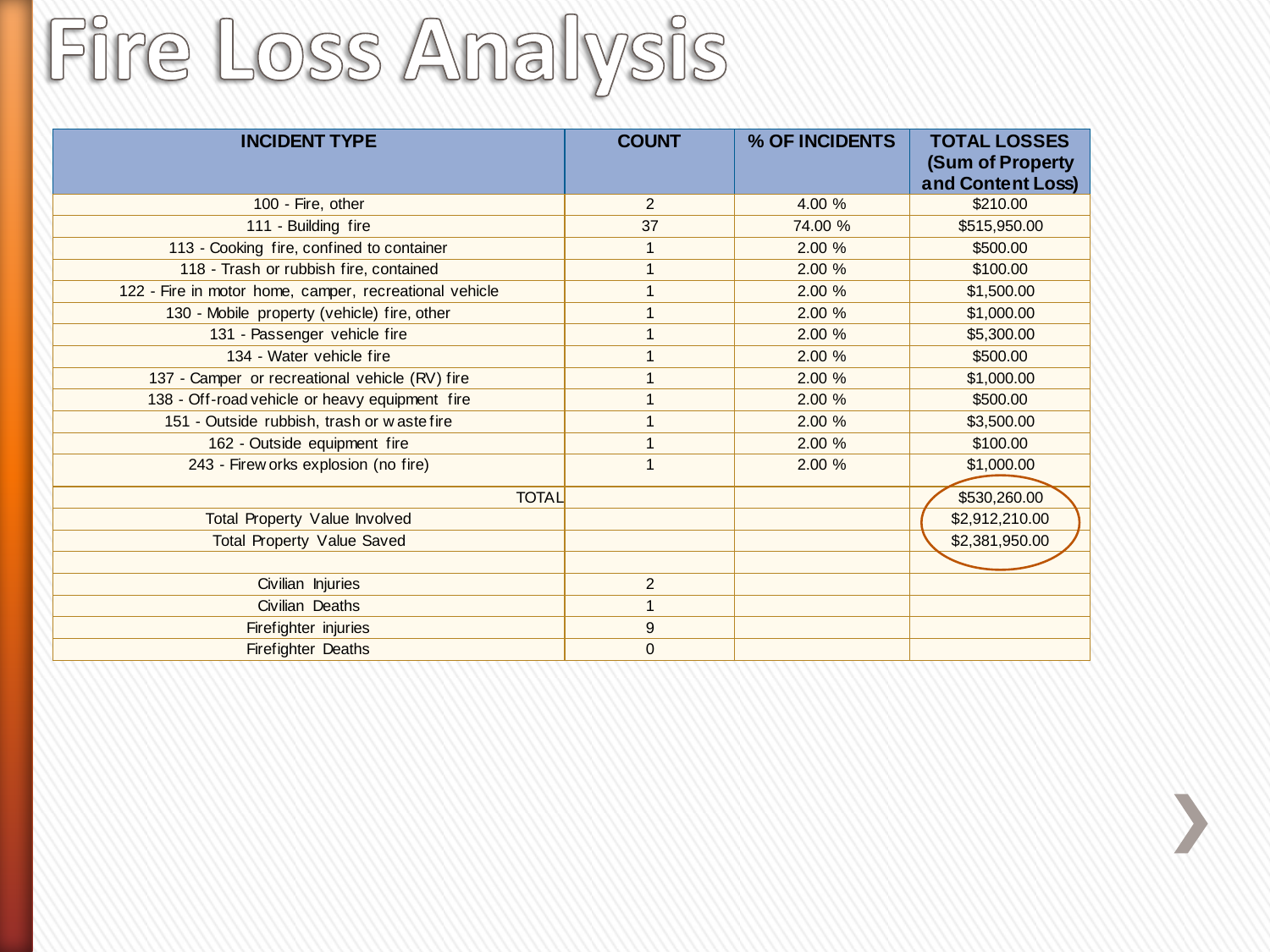### Fire Loss Analysis

| <b>INCIDENT TYPE</b>                                   | <b>COUNT</b>   | % OF INCIDENTS | <b>TOTAL LOSSES</b><br>(Sum of Property<br>and Content Loss) |
|--------------------------------------------------------|----------------|----------------|--------------------------------------------------------------|
| 100 - Fire, other                                      | 2              | 4.00 %         | \$210.00                                                     |
| 111 - Building fire                                    | 37             | 74.00 %        | \$515,950.00                                                 |
| 113 - Cooking fire, confined to container              |                | 2.00%          | \$500.00                                                     |
| 118 - Trash or rubbish fire, contained                 |                | 2.00 %         | \$100.00                                                     |
| 122 - Fire in motor home, camper, recreational vehicle |                | 2.00%          | \$1,500.00                                                   |
| 130 - Mobile property (vehicle) fire, other            |                | 2.00%          | \$1,000.00                                                   |
| 131 - Passenger vehicle fire                           |                | 2.00 %         | \$5,300.00                                                   |
| 134 - Water vehicle fire                               |                | 2.00%          | \$500.00                                                     |
| 137 - Camper or recreational vehicle (RV) fire         |                | 2.00 %         | \$1,000.00                                                   |
| 138 - Off-road vehicle or heavy equipment fire         |                | 2.00 %         | \$500.00                                                     |
| 151 - Outside rubbish, trash or w aste fire            |                | 2.00 %         | \$3,500.00                                                   |
| 162 - Outside equipment fire                           |                | 2.00 %         | \$100.00                                                     |
| 243 - Firew orks explosion (no fire)                   |                | 2.00 %         | \$1,000.00                                                   |
| <b>TOTAL</b>                                           |                |                | \$530,260.00                                                 |
| Total Property Value Involved                          |                |                | \$2,912,210.00                                               |
| <b>Total Property Value Saved</b>                      |                |                | \$2,381,950.00                                               |
|                                                        |                |                |                                                              |
| Civilian Injuries                                      | $\overline{2}$ |                |                                                              |
| Civilian Deaths                                        |                |                |                                                              |
| Firefighter injuries                                   | 9              |                |                                                              |
| Firefighter Deaths                                     | $\mathbf{0}$   |                |                                                              |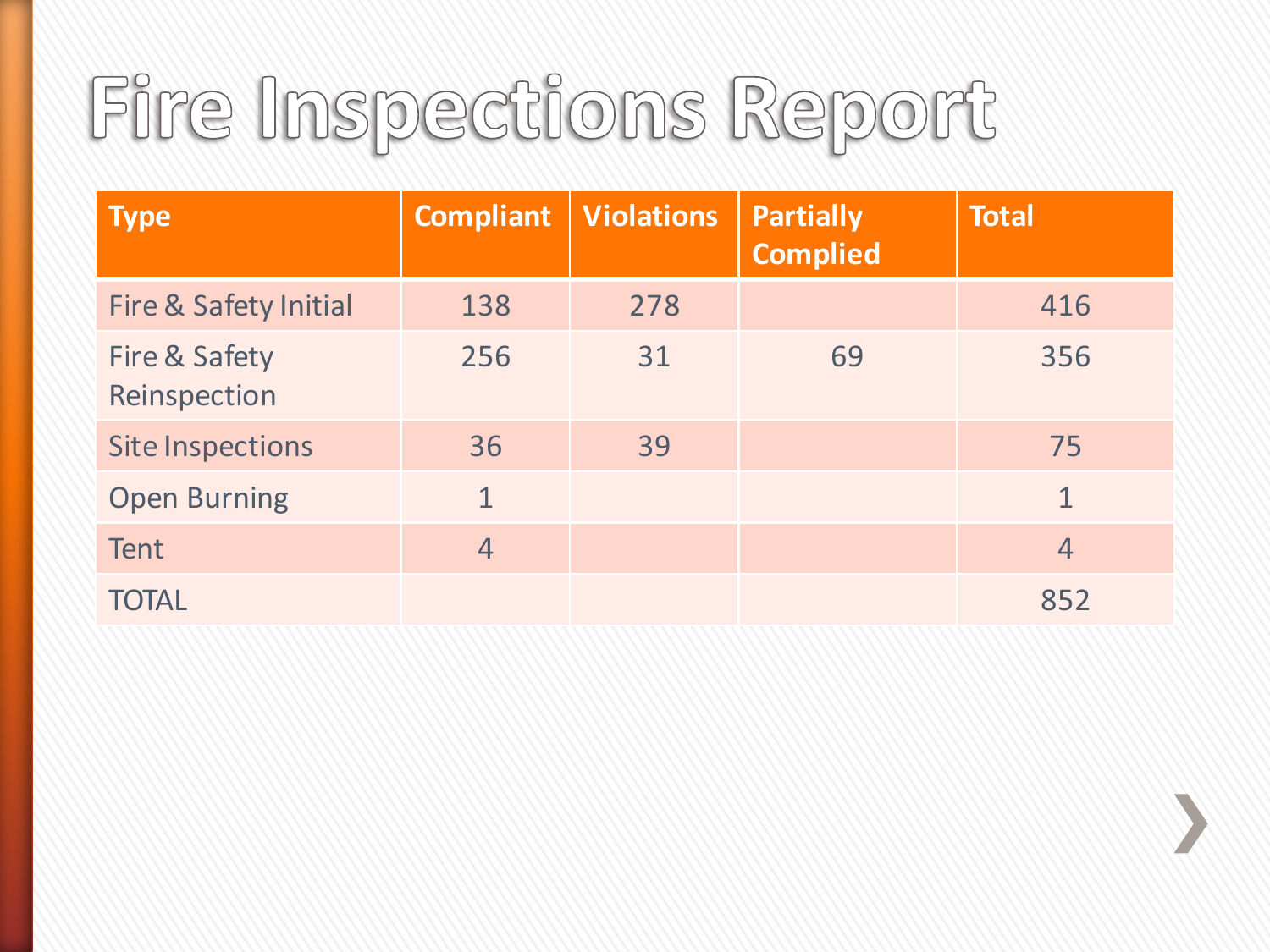### Fire Inspections Report

| <b>Type</b>                              | <b>Compliant</b> | <b>Violations</b> | <b>Partially</b><br><b>Complied</b> | <b>Total</b>   |
|------------------------------------------|------------------|-------------------|-------------------------------------|----------------|
| <b>Fire &amp; Safety Initial</b>         | 138              | 278               |                                     | 416            |
| <b>Fire &amp; Safety</b><br>Reinspection | 256              | 31                | 69                                  | 356            |
| <b>Site Inspections</b>                  | 36               | 39                |                                     | 75             |
| <b>Open Burning</b>                      | $\mathbf{1}$     |                   |                                     | $\overline{1}$ |
| <b>Tent</b>                              | $\overline{4}$   |                   |                                     | $\overline{4}$ |
| <b>TOTAL</b>                             |                  |                   |                                     | 852            |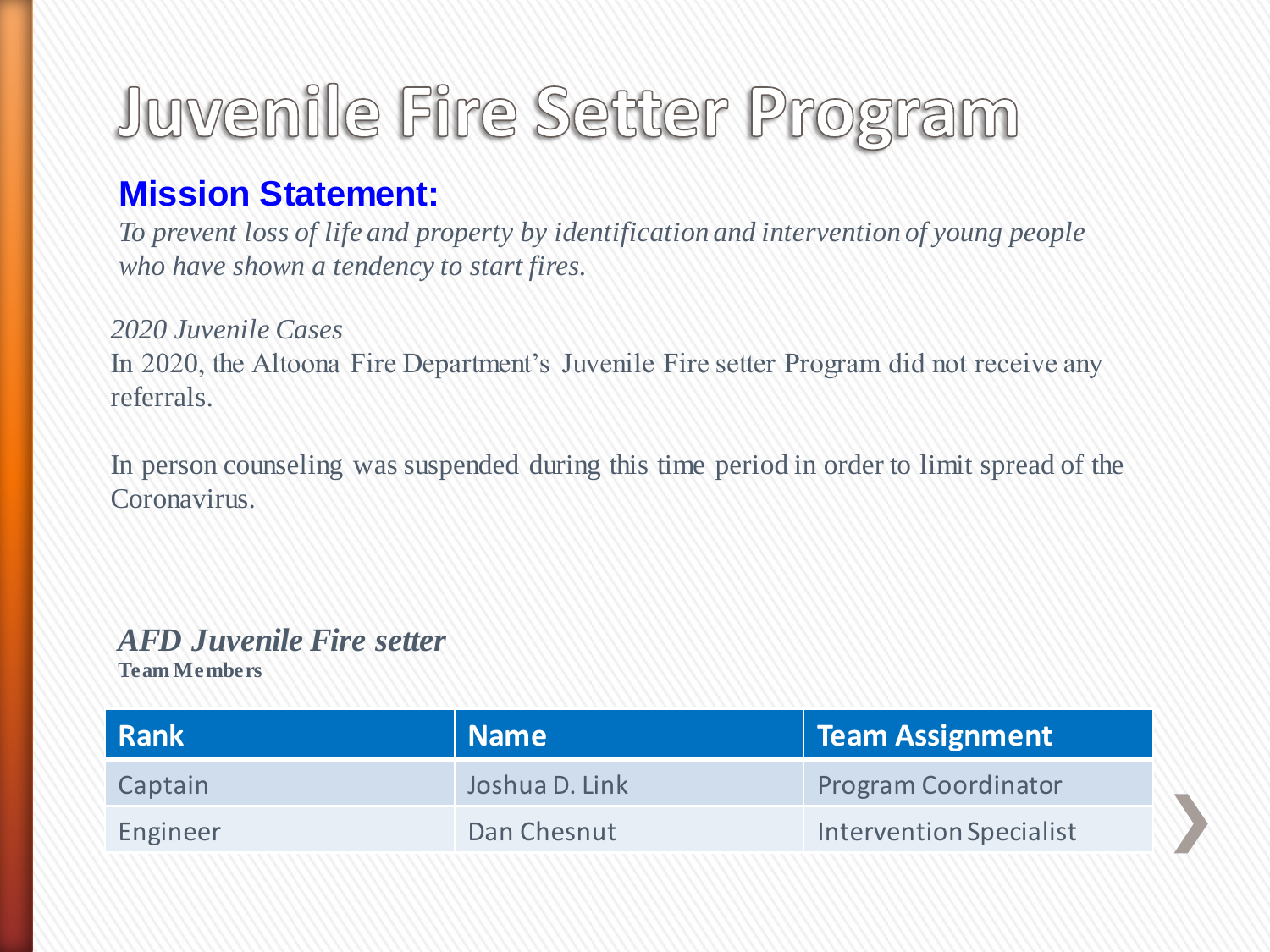### Juvenile Fire Setter Program

#### **Mission Statement:**

*To prevent loss of life and property by identification and intervention of young people who have shown a tendency to start fires.*

#### *2020 Juvenile Cases*

In 2020, the Altoona Fire Department's Juvenile Fire setter Program did not receive any referrals.

In person counseling was suspended during this time period in order to limit spread of the Coronavirus.

#### *AFD Juvenile Fire setter*

**Team Members**

| <b>Rank</b> | Name           | <b>Team Assignment</b>         |
|-------------|----------------|--------------------------------|
| Captain     | Joshua D. Link | <b>Program Coordinator</b>     |
| Engineer    | Dan Chesnut    | <b>Intervention Specialist</b> |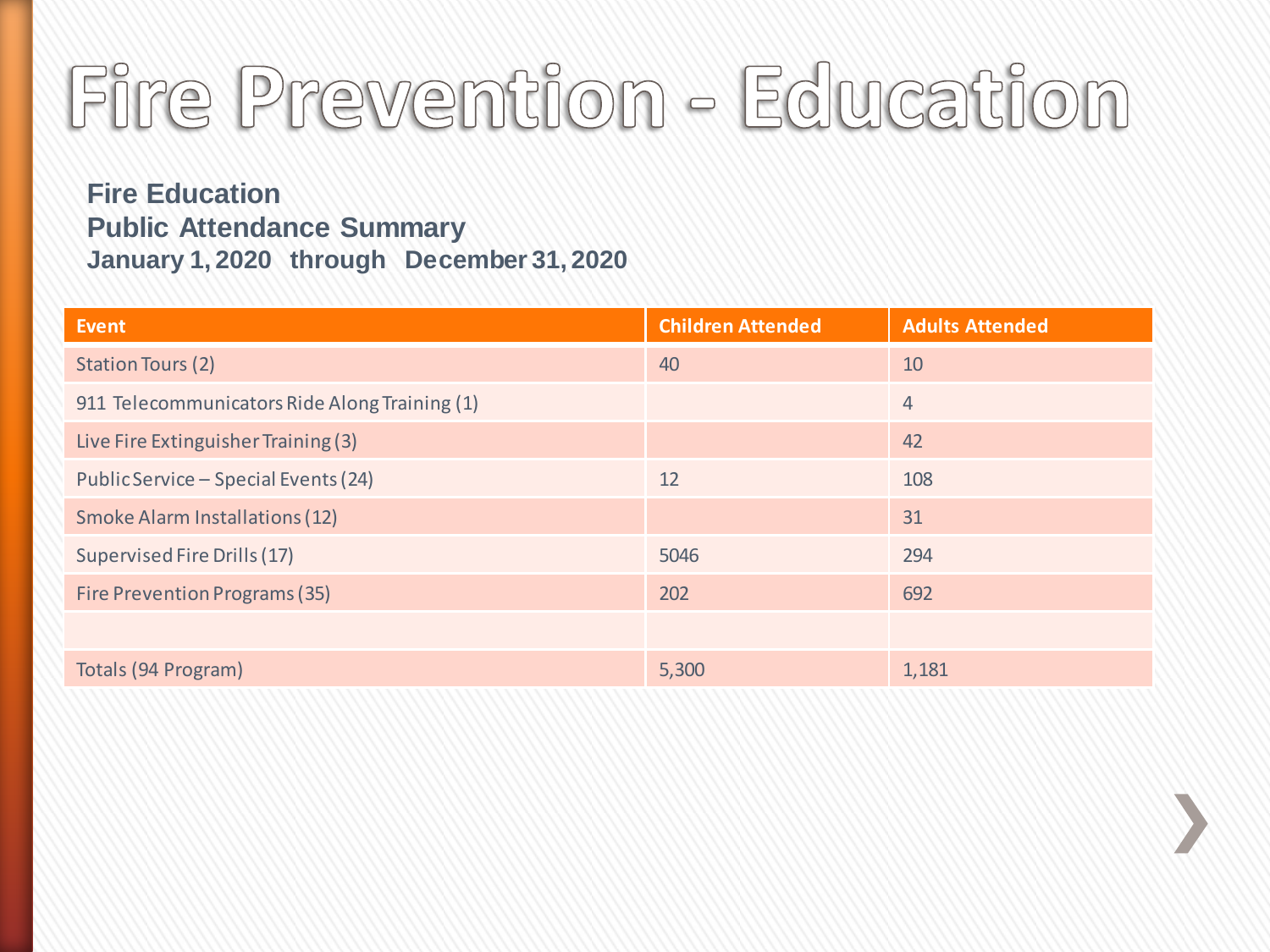### Fire Prevention - Education

**Fire Education Public Attendance Summary January 1, 2020 through December 31, 2020**

| <b>Event</b>                                  | <b>Children Attended</b> | <b>Adults Attended</b> |
|-----------------------------------------------|--------------------------|------------------------|
| <b>Station Tours (2)</b>                      | 40                       | 10                     |
| 911 Telecommunicators Ride Along Training (1) |                          | $\overline{4}$         |
| Live Fire Extinguisher Training (3)           |                          | 42                     |
| Public Service - Special Events (24)          | 12                       | 108                    |
| Smoke Alarm Installations (12)                |                          | 31                     |
| Supervised Fire Drills (17)                   | 5046                     | 294                    |
| Fire Prevention Programs (35)                 | 202                      | 692                    |
|                                               |                          |                        |
| Totals (94 Program)                           | 5,300                    | 1,181                  |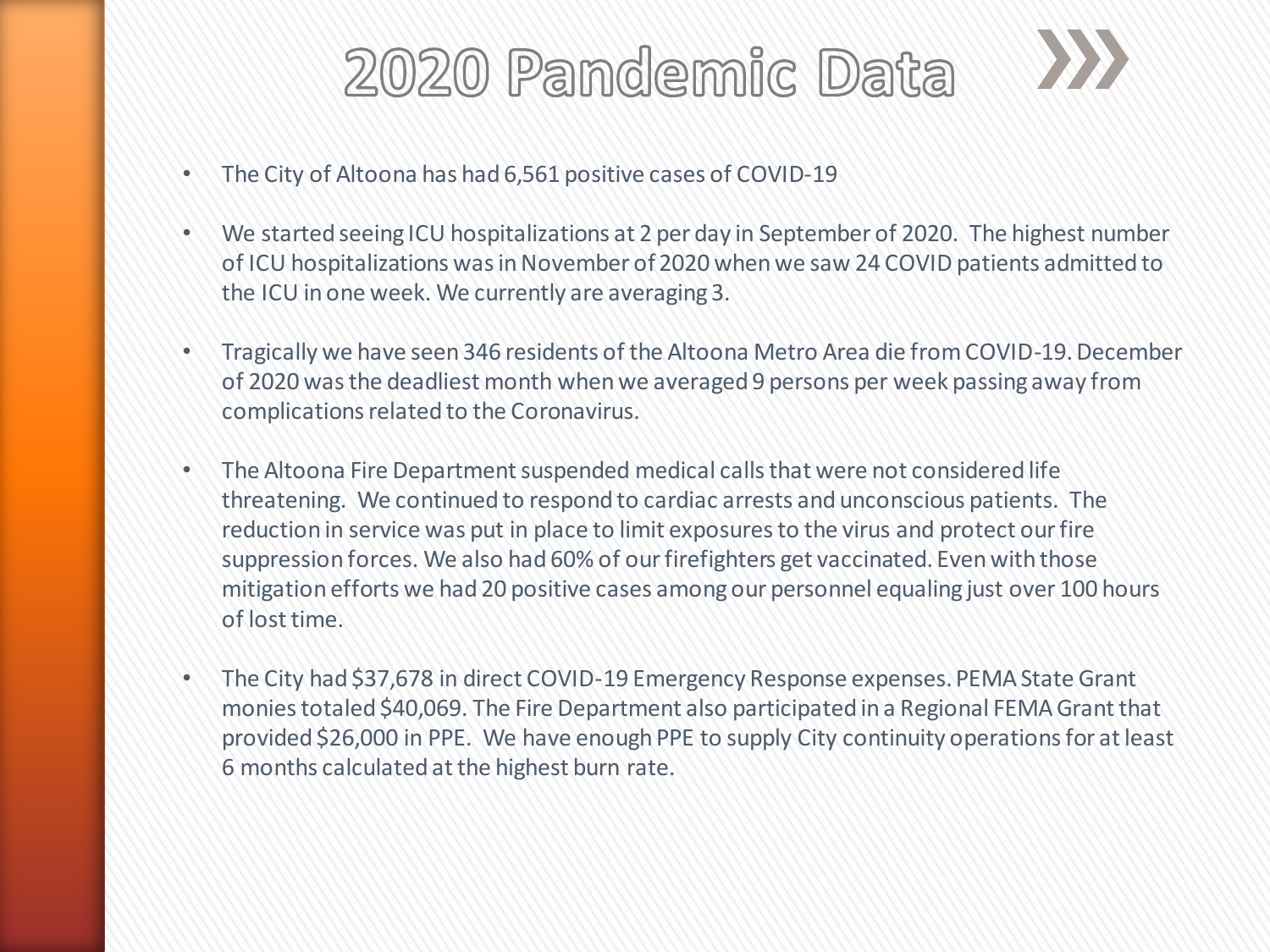

- The City of Altoona has had 6,561 positive cases of COVID-19
- We started seeing ICU hospitalizations at 2 per day in September of 2020. The highest number of ICU hospitalizations was in November of 2020 when we saw 24 COVID patients admitted to the ICU in one week. We currently are averaging 3.
- Tragically we have seen 346 residents of the Altoona Metro Area die from COVID-19. December of 2020 was the deadliest month when we averaged 9 persons per week passing away from complications related to the Coronavirus.
- The Altoona Fire Department suspended medical calls that were not considered life threatening. We continued to respond to cardiac arrests and unconscious patients. The reduction in service was put in place to limit exposures to the virus and protect our fire suppression forces. We also had 60% of our firefighters get vaccinated. Even with those mitigation efforts we had 20 positive cases among our personnel equaling just over 100 hours of lost time.
- The City had \$37,678 in direct COVID-19 Emergency Response expenses. PEMA State Grant monies totaled \$40,069. The Fire Department also participated in a Regional FEMA Grant that provided \$26,000 in PPE. We have enough PPE to supply City continuity operations for at least 6 months calculated at the highest burn rate.